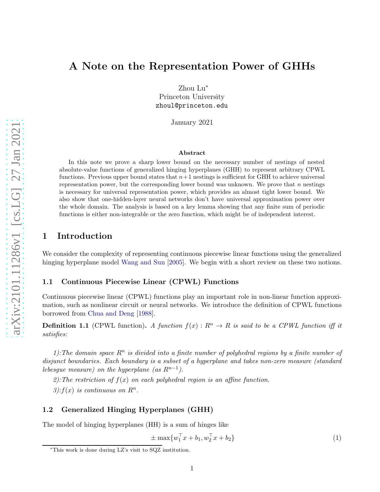# A Note on the Representation Power of GHHs

Zhou Lu<sup>∗</sup> Princeton University zhoul@princeton.edu

January 2021

#### Abstract

In this note we prove a sharp lower bound on the necessary number of nestings of nested absolute-value functions of generalized hinging hyperplanes (GHH) to represent arbitrary CPWL functions. Previous upper bound states that  $n+1$  nestings is sufficient for GHH to achieve universal representation power, but the corresponding lower bound was unknown. We prove that  $n$  nestings is necessary for universal representation power, which provides an almost tight lower bound. We also show that one-hidden-layer neural networks don't have universal approximation power over the whole domain. The analysis is based on a key lemma showing that any finite sum of periodic functions is either non-integrable or the zero function, which might be of independent interest.

### 1 Introduction

We consider the complexity of representing continuous piecewise linear functions using the generalized hinging hyperplane model [Wang and Sun](#page-3-0) [\[2005\]](#page-3-0). We begin with a short review on these two notions.

#### 1.1 Continuous Piecewise Linear (CPWL) Functions

Continuous piecewise linear (CPWL) functions play an important role in non-linear function approximation, such as nonlinear circuit or neural networks. We introduce the definition of CPWL functions borrowed from [Chua and Deng](#page-3-1) [\[1988\]](#page-3-1).

**Definition 1.1** (CPWL function). A function  $f(x): R<sup>n</sup> \to R$  is said to be a CPWL function iff it satisfies:

1): The domain space  $R^n$  is divided into a finite number of polyhedral regions by a finite number of disjunct boundaries. Each boundary is a subset of a hyperplane and takes non-zero measure (standard lebesgue measure) on the hyperplane (as  $R^{n-1}$ ).

2): The restriction of  $f(x)$  on each polyhedral region is an affine function.

3):  $f(x)$  is continuous on  $R^n$ .

#### 1.2 Generalized Hinging Hyperplanes (GHH)

The model of hinging hyperplanes (HH) is a sum of hinges like

$$
\pm \max \{ w_1^\top x + b_1, w_2^\top x + b_2 \} \tag{1}
$$

<sup>∗</sup>This work is done during LZ's visit to SQZ institution.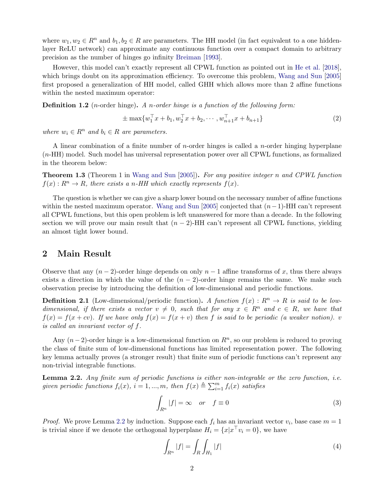where  $w_1, w_2 \in \mathbb{R}^n$  and  $b_1, b_2 \in \mathbb{R}$  are parameters. The HH model (in fact equivalent to a one hiddenlayer ReLU network) can approximate any continuous function over a compact domain to arbitrary precision as the number of hinges go infinity [Breiman](#page-3-2) [\[1993](#page-3-2)].

However, this model can't exactly represent all CPWL function as pointed out in [He et al.](#page-3-3) [\[2018](#page-3-3)], which brings doubt on its approximation efficiency. To overcome this problem, [Wang and Sun](#page-3-0) [\[2005](#page-3-0)] first proposed a generalization of HH model, called GHH which allows more than 2 affine functions within the nested maximum operator:

**Definition 1.2** (*n*-order hinge). A *n*-order hinge is a function of the following form:

$$
\pm \max \{ w_1^\top x + b_1, w_2^\top x + b_2, \cdots, w_{n+1}^\top x + b_{n+1} \} \tag{2}
$$

where  $w_i \in R^n$  and  $b_i \in R$  are parameters.

A linear combination of a finite number of *n*-order hinges is called a *n*-order hinging hyperplane (n-HH) model. Such model has universal representation power over all CPWL functions, as formalized in the theorem below:

<span id="page-1-1"></span>**Theorem 1.3** (Theorem 1 in [Wang and Sun](#page-3-0) [\[2005](#page-3-0)]). For any positive integer n and CPWL function  $f(x): R^n \to R$ , there exists a n-HH which exactly represents  $f(x)$ .

The question is whether we can give a sharp lower bound on the necessary number of affine functions within the nested maximum operator. [Wang and Sun](#page-3-0) [\[2005\]](#page-3-0) conjected that  $(n-1)$ -HH can't represent all CPWL functions, but this open problem is left unanswered for more than a decade. In the following section we will prove our main result that  $(n-2)$ -HH can't represent all CPWL functions, yielding an almost tight lower bound.

### 2 Main Result

Observe that any  $(n-2)$ -order hinge depends on only  $n-1$  affine transforms of x, thus there always exists a direction in which the value of the  $(n - 2)$ -order hinge remains the same. We make such observation precise by introducing the definition of low-dimensional and periodic functions.

**Definition 2.1** (Low-dimensional/periodic function). A function  $f(x) : R^n \to R$  is said to be lowdimensional, if there exists a vector  $v \neq 0$ , such that for any  $x \in R^n$  and  $c \in R$ , we have that  $f(x) = f(x + cv)$ . If we have only  $f(x) = f(x + v)$  then f is said to be periodic (a weaker notion). v is called an invariant vector of f.

Any  $(n-2)$ -order hinge is a low-dimensional function on  $R<sup>n</sup>$ , so our problem is reduced to proving the class of finite sum of low-dimensional functions has limited representation power. The following key lemma actually proves (a stronger result) that finite sum of periodic functions can't represent any non-trivial integrable functions.

<span id="page-1-0"></span>Lemma 2.2. Any finite sum of periodic functions is either non-integrable or the zero function, i.e. given periodic functions  $f_i(x)$ ,  $i = 1, ..., m$ , then  $f(x) \triangleq \sum_{i=1}^{m} f_i(x)$  satisfies

$$
\int_{R^n} |f| = \infty \quad or \quad f \equiv 0 \tag{3}
$$

*Proof.* We prove Lemma [2.2](#page-1-0) by induction. Suppose each  $f_i$  has an invariant vector  $v_i$ , base case  $m = 1$ is trivial since if we denote the orthogonal hyperplane  $H_i = \{x | x^\top v_i = 0\}$ , we have

$$
\int_{R^n} |f| = \int_R \int_{H_1} |f| \tag{4}
$$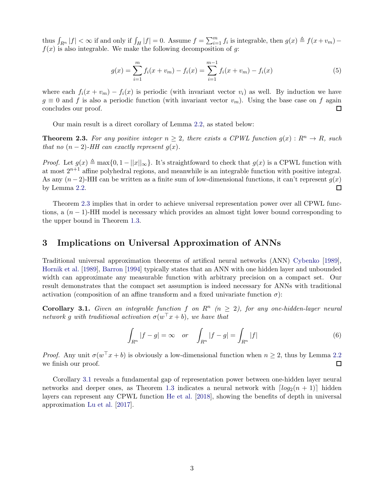thus  $\int_{R^n} |f| < \infty$  if and only if  $\int_H |f| = 0$ . Assume  $f = \sum_{i=1}^m f_i$  is integrable, then  $g(x) \triangleq f(x+v_m)$  $f(x)$  is also integrable. We make the following decomposition of q:

$$
g(x) = \sum_{i=1}^{m} f_i(x + v_m) - f_i(x) = \sum_{i=1}^{m-1} f_i(x + v_m) - f_i(x)
$$
\n(5)

where each  $f_i(x + v_m) - f_i(x)$  is periodic (with invariant vector  $v_i$ ) as well. By induction we have  $g \equiv 0$  and f is also a periodic function (with invariant vector  $v_m$ ). Using the base case on f again concludes our proof.  $\Box$ 

Our main result is a direct corollary of Lemma [2.2,](#page-1-0) as stated below:

<span id="page-2-0"></span>**Theorem 2.3.** For any positive integer  $n \geq 2$ , there exists a CPWL function  $g(x): R^n \to R$ , such that no  $(n-2)$ -HH can exactly represent  $g(x)$ .

*Proof.* Let  $g(x) \triangleq \max\{0, 1 - ||x||_{\infty}\}$ . It's straightfoward to check that  $g(x)$  is a CPWL function with at most  $2^{n+1}$  affine polyhedral regions, and meanwhile is an integrable function with positive integral. As any  $(n-2)$ -HH can be written as a finite sum of low-dimensional functions, it can't represent  $g(x)$ by Lemma [2.2.](#page-1-0)  $\Box$ 

Theorem [2.3](#page-2-0) implies that in order to achieve universal representation power over all CPWL functions, a  $(n-1)$ -HH model is necessary which provides an almost tight lower bound corresponding to the upper bound in Theorem [1.3.](#page-1-1)

#### 3 Implications on Universal Approximation of ANNs

Traditional universal approximation theorems of artifical neural networks (ANN) [Cybenko](#page-3-4) [\[1989](#page-3-4)], [Hornik et al.](#page-3-5) [\[1989\]](#page-3-5), [Barron](#page-3-6) [\[1994\]](#page-3-6) typically states that an ANN with one hidden layer and unbounded width can approximate any measurable function with arbitrary precision on a compact set. Our result demonstrates that the compact set assumption is indeed necessary for ANNs with traditional activation (composition of an affine transform and a fixed univariate function  $\sigma$ ):

<span id="page-2-1"></span>**Corollary 3.1.** Given an integrable function f on  $\mathbb{R}^n$  ( $n \geq 2$ ), for any one-hidden-layer neural network g with traditional activation  $\sigma(w^{\top}x+b)$ , we have that

$$
\int_{R^n} |f - g| = \infty \quad or \quad \int_{R^n} |f - g| = \int_{R^n} |f| \tag{6}
$$

*Proof.* Any unit  $\sigma(w^{\top}x + b)$  is obviously a low-dimensional function when  $n \geq 2$ , thus by Lemma [2.2](#page-1-0) we finish our proof.  $\Box$ 

Corollary [3.1](#page-2-1) reveals a fundamental gap of representation power between one-hidden layer neural networks and deeper ones, as Theorem [1.3](#page-1-1) indicates a neural network with  $\lceil log_2(n+1) \rceil$  hidden layers can represent any CPWL function [He et al.](#page-3-3) [\[2018\]](#page-3-3), showing the benefits of depth in universal approximation [Lu et al.](#page-3-7) [\[2017](#page-3-7)].